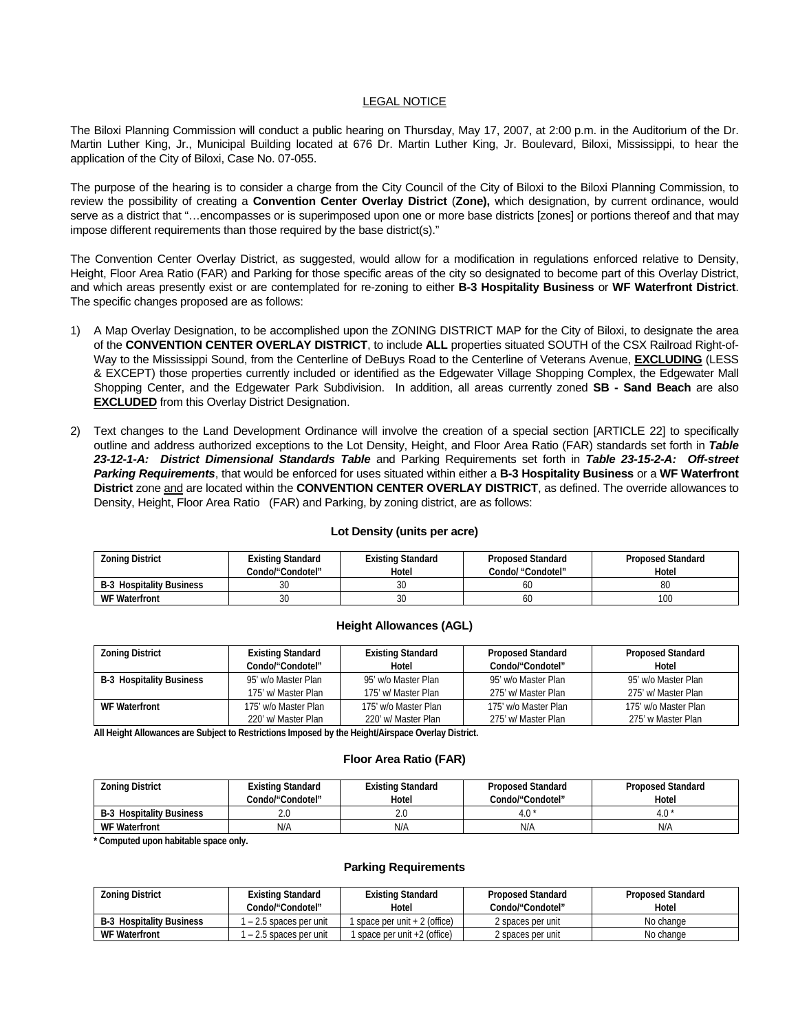### LEGAL NOTICE

The Biloxi Planning Commission will conduct a public hearing on Thursday, May 17, 2007, at 2:00 p.m. in the Auditorium of the Dr. Martin Luther King, Jr., Municipal Building located at 676 Dr. Martin Luther King, Jr. Boulevard, Biloxi, Mississippi, to hear the application of the City of Biloxi, Case No. 07-055.

The purpose of the hearing is to consider a charge from the City Council of the City of Biloxi to the Biloxi Planning Commission, to review the possibility of creating a **Convention Center Overlay District** (**Zone),** which designation, by current ordinance, would serve as a district that "...encompasses or is superimposed upon one or more base districts [zones] or portions thereof and that may impose different requirements than those required by the base district(s)."

The Convention Center Overlay District, as suggested, would allow for a modification in regulations enforced relative to Density, Height, Floor Area Ratio (FAR) and Parking for those specific areas of the city so designated to become part of this Overlay District, and which areas presently exist or are contemplated for re-zoning to either **B-3 Hospitality Business** or **WF Waterfront District**. The specific changes proposed are as follows:

- 1) A Map Overlay Designation, to be accomplished upon the ZONING DISTRICT MAP for the City of Biloxi, to designate the area of the **CONVENTION CENTER OVERLAY DISTRICT**, to include **ALL** properties situated SOUTH of the CSX Railroad Right-of-Way to the Mississippi Sound, from the Centerline of DeBuys Road to the Centerline of Veterans Avenue, **EXCLUDING** (LESS & EXCEPT) those properties currently included or identified as the Edgewater Village Shopping Complex, the Edgewater Mall Shopping Center, and the Edgewater Park Subdivision. In addition, all areas currently zoned **SB - Sand Beach** are also **EXCLUDED** from this Overlay District Designation.
- 2) Text changes to the Land Development Ordinance will involve the creation of a special section [ARTICLE 22] to specifically outline and address authorized exceptions to the Lot Density, Height, and Floor Area Ratio (FAR) standards set forth in *Table 23-12-1-A: District Dimensional Standards Table* and Parking Requirements set forth in *Table 23-15-2-A: Off-street Parking Requirements*, that would be enforced for uses situated within either a **B-3 Hospitality Business** or a **WF Waterfront District** zone and are located within the **CONVENTION CENTER OVERLAY DISTRICT**, as defined. The override allowances to Density, Height, Floor Area Ratio (FAR) and Parking, by zoning district, are as follows:

# **Lot Density (units per acre)**

| <b>Zoning District</b>          | Existing Standard<br>Condo/"Condotel" | <b>Existing Standard</b><br>Hotel | <b>Proposed Standard</b><br>Condo/ "Condotel" | <b>Proposed Standard</b><br>Hotel |
|---------------------------------|---------------------------------------|-----------------------------------|-----------------------------------------------|-----------------------------------|
| <b>B-3 Hospitality Business</b> | 30                                    | JU                                | 60                                            | 80                                |
| <b>WF Waterfront</b>            | 5υ<br>υv                              | JU                                | 60                                            | 100                               |

#### **Height Allowances (AGL)**

| <b>Zoning District</b>          | <b>Existing Standard</b> | <b>Existing Standard</b> | <b>Proposed Standard</b> | <b>Proposed Standard</b> |
|---------------------------------|--------------------------|--------------------------|--------------------------|--------------------------|
|                                 | Condo/"Condotel"         | Hotel                    | Condo/"Condotel"         | Hotel                    |
| <b>B-3 Hospitality Business</b> | 95' w/o Master Plan      | 95' w/o Master Plan      | 95' w/o Master Plan      | 95' w/o Master Plan      |
|                                 | 175' w/ Master Plan      | 175' w/ Master Plan      | 275' w/ Master Plan      | 275' w/ Master Plan      |
| WF Waterfront                   | 175' w/o Master Plan     | 175' w/o Master Plan     | 175' w/o Master Plan     | 175' w/o Master Plan     |
|                                 | 220' w/ Master Plan      | 220' w/ Master Plan      | 275' w/ Master Plan      | 275' w Master Plan       |

 **All Height Allowances are Subject to Restrictions Imposed by the Height/Airspace Overlay District.** 

## **Floor Area Ratio (FAR)**

| <b>Zoning District</b>          | Existing Standard<br>Condo/"Condotel" | <b>Existing Standard</b><br>Hotel | <b>Proposed Standard</b><br>Condo/"Condotel" | <b>Proposed Standard</b><br>Hotel |
|---------------------------------|---------------------------------------|-----------------------------------|----------------------------------------------|-----------------------------------|
| <b>B-3 Hospitality Business</b> | ገ በ<br>z.u                            | Z.U                               | 4.0                                          | $4.0*$                            |
| <b>WF Waterfront</b>            | N/A                                   | N/A                               | N/A                                          | N/A                               |

 **\* Computed upon habitable space only.** 

### **Parking Requirements**

| <b>Zoning District</b>          | Existing Standard<br><b>Existing Standard</b> |                                | <b>Proposed Standard</b> | <b>Proposed Standard</b> |
|---------------------------------|-----------------------------------------------|--------------------------------|--------------------------|--------------------------|
|                                 | Condo/"Condotel"                              | Hotel                          | Condo/"Condotel"         | Hotel                    |
| <b>B-3 Hospitality Business</b> | - 2.5 spaces per unit                         | 1 space per unit $+2$ (office) | 2 spaces per unit        | No change                |
| <b>WF Waterfront</b>            | l – 2.5 spaces per unit                       | 1 space per unit +2 (office)   | 2 spaces per unit        | No change                |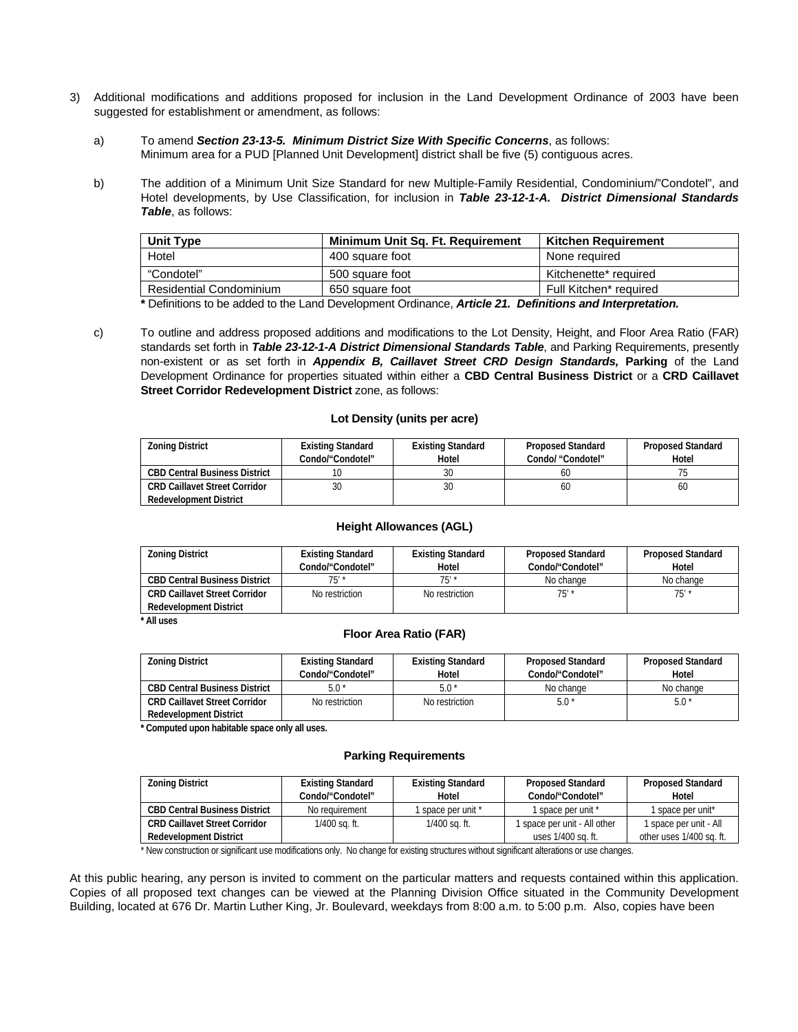- 3) Additional modifications and additions proposed for inclusion in the Land Development Ordinance of 2003 have been suggested for establishment or amendment, as follows:
	- a) To amend *Section 23-13-5. Minimum District Size With Specific Concerns*, as follows: Minimum area for a PUD [Planned Unit Development] district shall be five (5) contiguous acres.
	- b) The addition of a Minimum Unit Size Standard for new Multiple-Family Residential, Condominium/"Condotel", and Hotel developments, by Use Classification, for inclusion in *Table 23-12-1-A. District Dimensional Standards Table*, as follows:

| <b>Unit Type</b>               | Minimum Unit Sq. Ft. Requirement | <b>Kitchen Requirement</b> |
|--------------------------------|----------------------------------|----------------------------|
| Hotel                          | 400 square foot                  | None required              |
| "Condotel"                     | 500 square foot                  | Kitchenette* required      |
| <b>Residential Condominium</b> | 650 square foot                  | Full Kitchen* required     |

 **\*** Definitions to be added to the Land Development Ordinance, *Article 21. Definitions and Interpretation.* 

 c) To outline and address proposed additions and modifications to the Lot Density, Height, and Floor Area Ratio (FAR) standards set forth in *Table 23-12-1-A District Dimensional Standards Table*, and Parking Requirements, presently non-existent or as set forth in *Appendix B, Caillavet Street CRD Design Standards,* **Parking** of the Land Development Ordinance for properties situated within either a **CBD Central Business District** or a **CRD Caillavet Street Corridor Redevelopment District** zone, as follows:

# **Lot Density (units per acre)**

| <b>Zoning District</b>               | <b>Existing Standard</b> | <b>Existing Standard</b> | <b>Proposed Standard</b> | <b>Proposed Standard</b> |
|--------------------------------------|--------------------------|--------------------------|--------------------------|--------------------------|
|                                      | Condo/"Condotel"         | Hotel                    | Condo/ "Condotel"        | Hotel                    |
| <b>CBD Central Business District</b> |                          | 30                       | 60                       |                          |
| <b>CRD Caillavet Street Corridor</b> | 30                       | 30                       | 60                       | 60                       |
| <b>Redevelopment District</b>        |                          |                          |                          |                          |

#### **Height Allowances (AGL)**

| <b>Zoning District</b>               | <b>Existing Standard</b><br>Condo/"Condotel" | <b>Existing Standard</b><br>Hotel | <b>Proposed Standard</b><br>Condo/"Condotel" | <b>Proposed Standard</b><br>Hotel |
|--------------------------------------|----------------------------------------------|-----------------------------------|----------------------------------------------|-----------------------------------|
| <b>CBD Central Business District</b> | 75′ *                                        | 75'                               | No change                                    | No change                         |
| <b>CRD Caillavet Street Corridor</b> | No restriction                               | No restriction                    | 75'                                          | $75'$ *                           |
| <b>Redevelopment District</b>        |                                              |                                   |                                              |                                   |

# **\* All uses**

# **Floor Area Ratio (FAR)**

| <b>Zoning District</b>               | <b>Existing Standard</b> | <b>Existing Standard</b> | <b>Proposed Standard</b> | <b>Proposed Standard</b> |
|--------------------------------------|--------------------------|--------------------------|--------------------------|--------------------------|
|                                      | Condo/"Condotel"         | Hotel                    | Condo/"Condotel"         | Hotel                    |
| <b>CBD Central Business District</b> | $5.0*$                   | $5.0*$                   | No change                | No change                |
| <b>CRD Caillavet Street Corridor</b> | No restriction           | No restriction           | $5.0*$                   | $5.0*$                   |
| <b>Redevelopment District</b>        |                          |                          |                          |                          |

 **\* Computed upon habitable space only all uses.** 

#### **Parking Requirements**

| <b>Zoning District</b>               | <b>Existing Standard</b><br>Condo/"Condotel" | <b>Existing Standard</b><br>Hotel | <b>Proposed Standard</b><br>Condo/"Condotel" | <b>Proposed Standard</b><br>Hotel |
|--------------------------------------|----------------------------------------------|-----------------------------------|----------------------------------------------|-----------------------------------|
| <b>CBD Central Business District</b> | No reauirement                               | space per unit *                  | 1 space per unit *                           | space per unit*                   |
| <b>CRD Caillavet Street Corridor</b> | 1/400 sq. ft.                                | $1/400$ sq. ft.                   | 1 space per unit - All other                 | 1 space per unit - All            |
| <b>Redevelopment District</b>        |                                              |                                   | uses 1/400 sq. ft.                           | other uses 1/400 sq. ft.          |

\* New construction or significant use modifications only. No change for existing structures without significant alterations or use changes.

At this public hearing, any person is invited to comment on the particular matters and requests contained within this application. Copies of all proposed text changes can be viewed at the Planning Division Office situated in the Community Development Building, located at 676 Dr. Martin Luther King, Jr. Boulevard, weekdays from 8:00 a.m. to 5:00 p.m. Also, copies have been